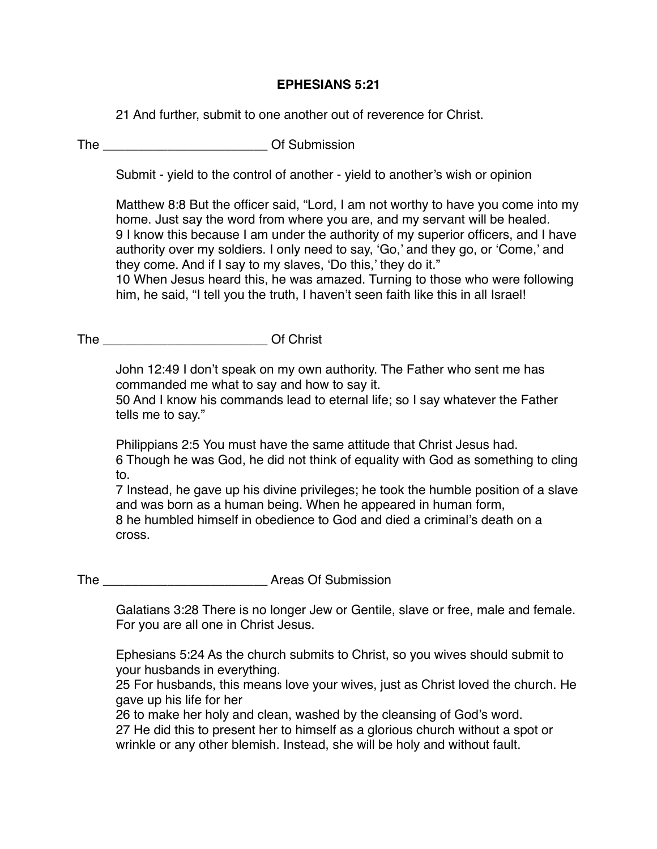## **EPHESIANS 5:21**

21 And further, submit to one another out of reverence for Christ.

## The **The Community Community** Of Submission

Submit - yield to the control of another - yield to another's wish or opinion

Matthew 8:8 But the officer said, "Lord, I am not worthy to have you come into my home. Just say the word from where you are, and my servant will be healed. 9 I know this because I am under the authority of my superior officers, and I have authority over my soldiers. I only need to say, 'Go,' and they go, or 'Come,' and they come. And if I say to my slaves, 'Do this,' they do it."

10 When Jesus heard this, he was amazed. Turning to those who were following him, he said, "I tell you the truth, I haven't seen faith like this in all Israel!

The **The Community Community** Of Christ

John 12:49 I don't speak on my own authority. The Father who sent me has commanded me what to say and how to say it.

50 And I know his commands lead to eternal life; so I say whatever the Father tells me to say."

Philippians 2:5 You must have the same attitude that Christ Jesus had. 6 Though he was God, he did not think of equality with God as something to cling to.

7 Instead, he gave up his divine privileges; he took the humble position of a slave and was born as a human being. When he appeared in human form, 8 he humbled himself in obedience to God and died a criminal's death on a cross.

## The **The Areas Of Submission**

Galatians 3:28 There is no longer Jew or Gentile, slave or free, male and female. For you are all one in Christ Jesus.

Ephesians 5:24 As the church submits to Christ, so you wives should submit to your husbands in everything.

25 For husbands, this means love your wives, just as Christ loved the church. He gave up his life for her

26 to make her holy and clean, washed by the cleansing of God's word. 27 He did this to present her to himself as a glorious church without a spot or wrinkle or any other blemish. Instead, she will be holy and without fault.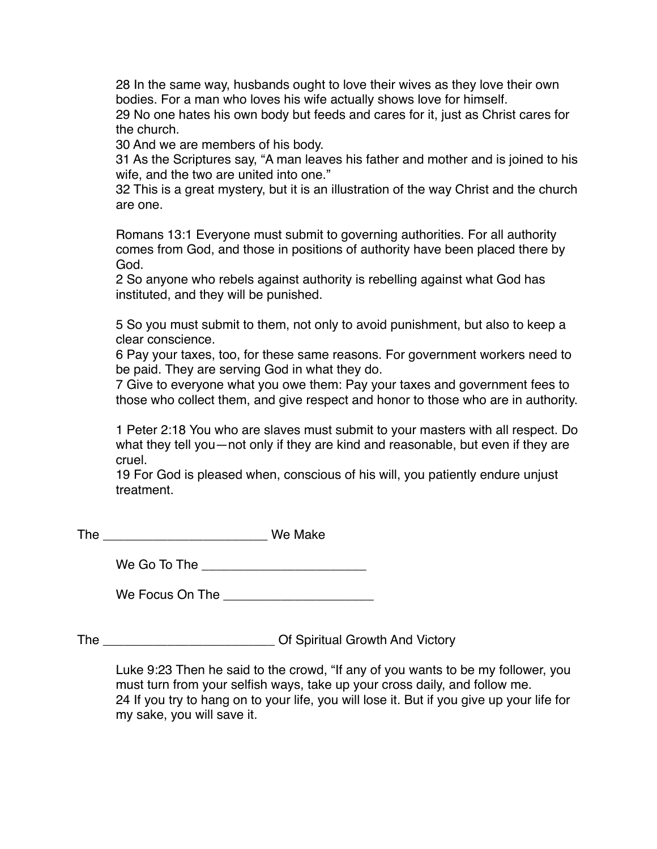28 In the same way, husbands ought to love their wives as they love their own bodies. For a man who loves his wife actually shows love for himself.

29 No one hates his own body but feeds and cares for it, just as Christ cares for the church.

30 And we are members of his body.

31 As the Scriptures say, "A man leaves his father and mother and is joined to his wife, and the two are united into one."

32 This is a great mystery, but it is an illustration of the way Christ and the church are one.

Romans 13:1 Everyone must submit to governing authorities. For all authority comes from God, and those in positions of authority have been placed there by God.

2 So anyone who rebels against authority is rebelling against what God has instituted, and they will be punished.

5 So you must submit to them, not only to avoid punishment, but also to keep a clear conscience.

6 Pay your taxes, too, for these same reasons. For government workers need to be paid. They are serving God in what they do.

7 Give to everyone what you owe them: Pay your taxes and government fees to those who collect them, and give respect and honor to those who are in authority.

1 Peter 2:18 You who are slaves must submit to your masters with all respect. Do what they tell you—not only if they are kind and reasonable, but even if they are cruel.

19 For God is pleased when, conscious of his will, you patiently endure unjust treatment.

| The | We Make |
|-----|---------|
|-----|---------|

We Go To The  $\Box$ 

We Focus On The **Example 20** 

The \_\_\_\_\_\_\_\_\_\_\_\_\_\_\_\_\_\_\_\_\_\_\_\_ Of Spiritual Growth And Victory

Luke 9:23 Then he said to the crowd, "If any of you wants to be my follower, you must turn from your selfish ways, take up your cross daily, and follow me. 24 If you try to hang on to your life, you will lose it. But if you give up your life for my sake, you will save it.